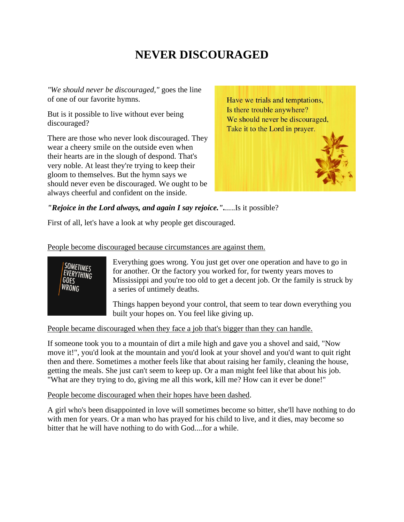# **NEVER DISCOURAGED**

*"We should never be discouraged,"* goes the line of one of our favorite hymns.

But is it possible to live without ever being discouraged?

There are those who never look discouraged. They wear a cheery smile on the outside even when their hearts are in the slough of despond. That's very noble. At least they're trying to keep their gloom to themselves. But the hymn says we should never even be discouraged. We ought to be always cheerful and confident on the inside.

Have we trials and temptations, Is there trouble anywhere? We should never be discouraged, Take it to the Lord in prayer.

*"Rejoice in the Lord always, and again I say rejoice."....*..Is it possible?

First of all, let's have a look at why people get discouraged.

#### People become discouraged because circumstances are against them.



Everything goes wrong. You just get over one operation and have to go in for another. Or the factory you worked for, for twenty years moves to Mississippi and you're too old to get a decent job. Or the family is struck by a series of untimely deaths.

Things happen beyond your control, that seem to tear down everything you built your hopes on. You feel like giving up.

### People became discouraged when they face a job that's bigger than they can handle.

If someone took you to a mountain of dirt a mile high and gave you a shovel and said, "Now move it!", you'd look at the mountain and you'd look at your shovel and you'd want to quit right then and there. Sometimes a mother feels like that about raising her family, cleaning the house, getting the meals. She just can't seem to keep up. Or a man might feel like that about his job. "What are they trying to do, giving me all this work, kill me? How can it ever be done!"

### People become discouraged when their hopes have been dashed.

A girl who's been disappointed in love will sometimes become so bitter, she'll have nothing to do with men for years. Or a man who has prayed for his child to live, and it dies, may become so bitter that he will have nothing to do with God....for a while.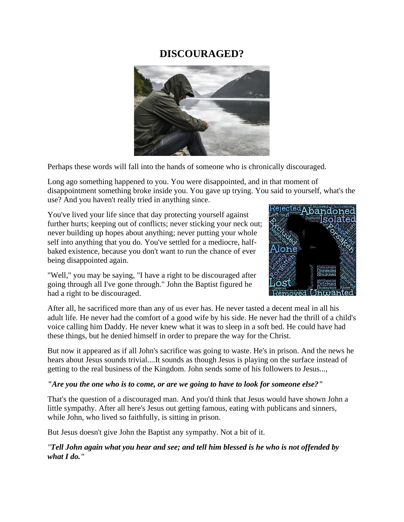### **DISCOURAGED?**



Perhaps these words will fall into the hands of someone who is chronically discouraged.

Long ago something happened to you. You were disappointed, and in that moment of disappointment something broke inside you. You gave up trying. You said to yourself, what's the use? And you haven't really tried in anything since.

You've lived your life since that day protecting yourself against further hurts; keeping out of conflicts; never sticking your neck out; never building up hopes about anything; never putting your whole self into anything that you do. You've settled for a mediocre, halfbaked existence, because you don't want to run the chance of ever being disappointed again.

"Well," you may be saying, "I have a right to be discouraged after going through all I've gone through." John the Baptist figured he had a right to be discouraged.



After all, he sacrificed more than any of us ever has. He never tasted a decent meal in all his adult life. He never had the comfort of a good wife by his side. He never had the thrill of a child's voice calling him Daddy. He never knew what it was to sleep in a soft bed. He could have had these things, but he denied himself in order to prepare the way for the Christ.

But now it appeared as if all John's sacrifice was going to waste. He's in prison. And the news he hears about Jesus sounds trivial....It sounds as though Jesus is playing on the surface instead of getting to the real business of the Kingdom. John sends some of his followers to Jesus...,

### *"Are you the one who is to come, or are we going to have to look for someone else?"*

That's the question of a discouraged man. And you'd think that Jesus would have shown John a little sympathy. After all here's Jesus out getting famous, eating with publicans and sinners, while John, who lived so faithfully, is sitting in prison.

But Jesus doesn't give John the Baptist any sympathy. Not a bit of it.

*"Tell John again what you hear and see; and tell him blessed is he who is not offended by what I do."*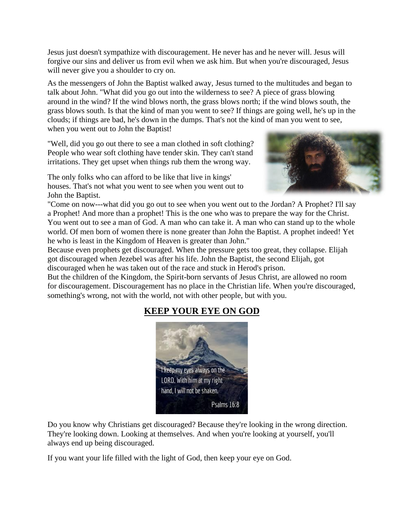Jesus just doesn't sympathize with discouragement. He never has and he never will. Jesus will forgive our sins and deliver us from evil when we ask him. But when you're discouraged, Jesus will never give you a shoulder to cry on.

As the messengers of John the Baptist walked away, Jesus turned to the multitudes and began to talk about John. "What did you go out into the wilderness to see? A piece of grass blowing around in the wind? If the wind blows north, the grass blows north; if the wind blows south, the grass blows south. Is that the kind of man you went to see? If things are going well, he's up in the clouds; if things are bad, he's down in the dumps. That's not the kind of man you went to see, when you went out to John the Baptist!

"Well, did you go out there to see a man clothed in soft clothing? People who wear soft clothing have tender skin. They can't stand irritations. They get upset when things rub them the wrong way.

The only folks who can afford to be like that live in kings' houses. That's not what you went to see when you went out to John the Baptist.



"Come on now---what did you go out to see when you went out to the Jordan? A Prophet? I'll say a Prophet! And more than a prophet! This is the one who was to prepare the way for the Christ. You went out to see a man of God. A man who can take it. A man who can stand up to the whole world. Of men born of women there is none greater than John the Baptist. A prophet indeed! Yet he who is least in the Kingdom of Heaven is greater than John."

Because even prophets get discouraged. When the pressure gets too great, they collapse. Elijah got discouraged when Jezebel was after his life. John the Baptist, the second Elijah, got discouraged when he was taken out of the race and stuck in Herod's prison.

But the children of the Kingdom, the Spirit-born servants of Jesus Christ, are allowed no room for discouragement. Discouragement has no place in the Christian life. When you're discouraged, something's wrong, not with the world, not with other people, but with you.

### **KEEP YOUR EYE ON GOD**



Do you know why Christians get discouraged? Because they're looking in the wrong direction. They're looking down. Looking at themselves. And when you're looking at yourself, you'll always end up being discouraged.

If you want your life filled with the light of God, then keep your eye on God.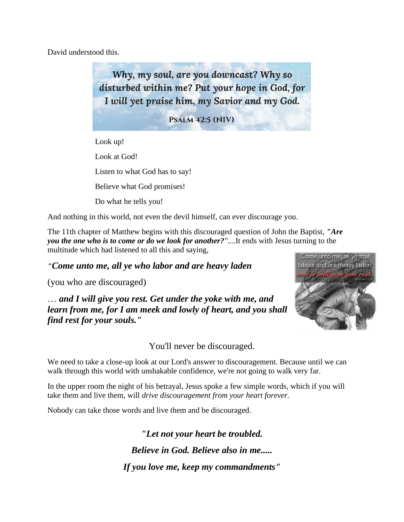David understood this.

Why, my soul, are you downcast? Why so disturbed within me? Put your hope in God, for I will yet praise him, my Savior and my God.

**PSALM 42:5 (NIV)** 

Look up! Look at God! Listen to what God has to say! Believe what God promises! Do what he tells you!

And nothing in this world, not even the devil himself, can ever discourage you.

The 11th chapter of Matthew begins with this discouraged question of John the Baptist, *"Are you the one who is to come or do we look for another?"*....It ends with Jesus turning to the multitude which had listened to all this and saying,

*"Come unto me, all ye who labor and are heavy laden* 

(you who are discouraged)

… *and I will give you rest. Get under the yoke with me, and learn from me, for I am meek and lowly of heart, and you shall find rest for your souls."* 



You'll never be discouraged.

We need to take a close-up look at our Lord's answer to discouragement. Because until we can walk through this world with unshakable confidence, we're not going to walk very far.

In the upper room the night of his betrayal, Jesus spoke a few simple words, which if you will take them and live them, will *drive discouragement from your heart forever.*

Nobody can take those words and live them and be discouraged.

*"Let not your heart be troubled. Believe in God. Believe also in me..... If you love me, keep my commandments"*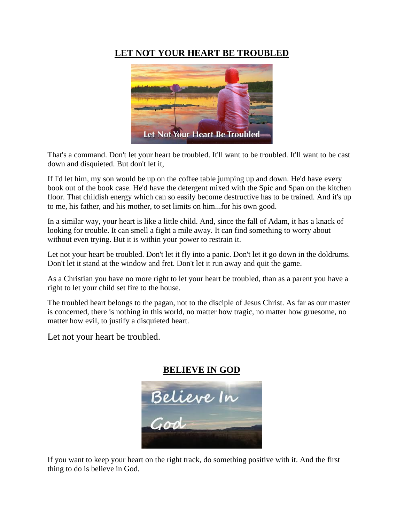### **LET NOT YOUR HEART BE TROUBLED**



That's a command. Don't let your heart be troubled. It'll want to be troubled. It'll want to be cast down and disquieted. But don't let it,

If I'd let him, my son would be up on the coffee table jumping up and down. He'd have every book out of the book case. He'd have the detergent mixed with the Spic and Span on the kitchen floor. That childish energy which can so easily become destructive has to be trained. And it's up to me, his father, and his mother, to set limits on him...for his own good.

In a similar way, your heart is like a little child. And, since the fall of Adam, it has a knack of looking for trouble. It can smell a fight a mile away. It can find something to worry about without even trying. But it is within your power to restrain it.

Let not your heart be troubled. Don't let it fly into a panic. Don't let it go down in the doldrums. Don't let it stand at the window and fret. Don't let it run away and quit the game.

As a Christian you have no more right to let your heart be troubled, than as a parent you have a right to let your child set fire to the house.

The troubled heart belongs to the pagan, not to the disciple of Jesus Christ. As far as our master is concerned, there is nothing in this world, no matter how tragic, no matter how gruesome, no matter how evil, to justify a disquieted heart.

Let not your heart be troubled.



If you want to keep your heart on the right track, do something positive with it. And the first thing to do is believe in God.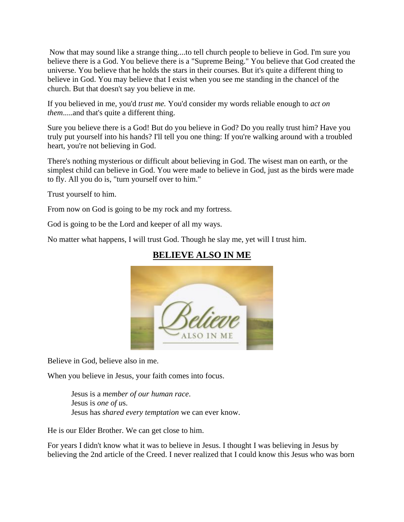Now that may sound like a strange thing....to tell church people to believe in God. I'm sure you believe there is a God. You believe there is a "Supreme Being." You believe that God created the universe. You believe that he holds the stars in their courses. But it's quite a different thing to believe in God. You may believe that I exist when you see me standing in the chancel of the church. But that doesn't say you believe in me.

If you believed in me, you'd *trust me.* You'd consider my words reliable enough to *act on them*.....and that's quite a different thing.

Sure you believe there is a God! But do you believe in God? Do you really trust him? Have you truly put yourself into his hands? I'll tell you one thing: If you're walking around with a troubled heart, you're not believing in God.

There's nothing mysterious or difficult about believing in God. The wisest man on earth, or the simplest child can believe in God. You were made to believe in God, just as the birds were made to fly. All you do is, "turn yourself over to him."

Trust yourself to him.

From now on God is going to be my rock and my fortress.

God is going to be the Lord and keeper of all my ways.

No matter what happens, I will trust God. Though he slay me, yet will I trust him.



### **BELIEVE ALSO IN ME**

Believe in God, believe also in me.

When you believe in Jesus, your faith comes into focus.

Jesus is a *member of our human race*. Jesus is *one of u*s. Jesus has *shared every temptation* we can ever know.

He is our Elder Brother. We can get close to him.

For years I didn't know what it was to believe in Jesus. I thought I was believing in Jesus by believing the 2nd article of the Creed. I never realized that I could know this Jesus who was born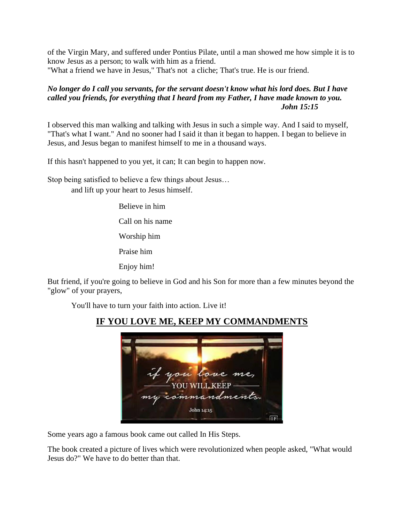of the Virgin Mary, and suffered under Pontius Pilate, until a man showed me how simple it is to know Jesus as a person; to walk with him as a friend.

"What a friend we have in Jesus," That's not a cliche; That's true. He is our friend.

### *No longer do I call you servants, for the servant doesn't know what his lord does. But I have called you friends, for everything that I heard from my Father, I have made known to you. John 15:15*

I observed this man walking and talking with Jesus in such a simple way. And I said to myself, "That's what I want." And no sooner had I said it than it began to happen. I began to believe in Jesus, and Jesus began to manifest himself to me in a thousand ways.

If this hasn't happened to you yet, it can; It can begin to happen now.

Stop being satisfied to believe a few things about Jesus… and lift up your heart to Jesus himself.

> Believe in him Call on his name

Worship him

Praise him

Enjoy him!

But friend, if you're going to believe in God and his Son for more than a few minutes beyond the "glow" of your prayers,

You'll have to turn your faith into action. Live it!



## **IF YOU LOVE ME, KEEP MY COMMANDMENTS**

Some years ago a famous book came out called In His Steps.

The book created a picture of lives which were revolutionized when people asked, "What would Jesus do?" We have to do better than that.